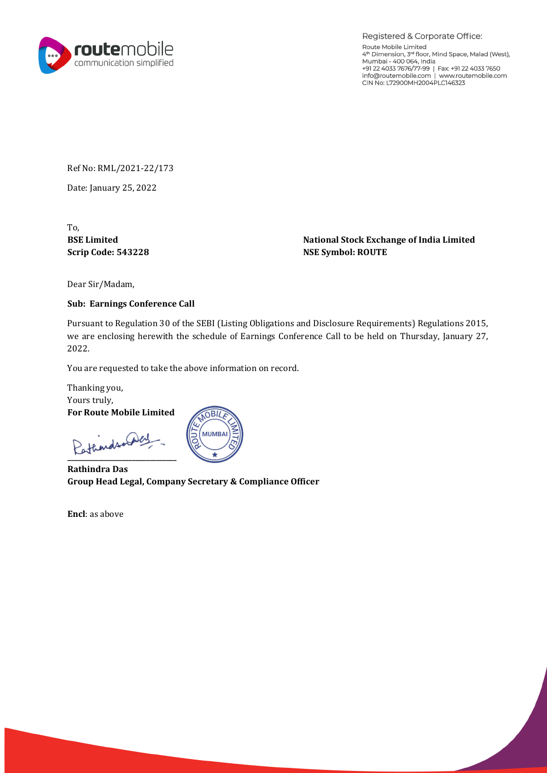

Registered & Corporate Office: Route Mobile Limited 4th Dimension, 3rd floor, Mind Space, Malad (West), Mumbai -400064, India +9122 4033 7676/77-99 I Fax +91 22 4033 7650 info@routemobile.com I www.routemobile.com CIN No: L72900MH2004PLC146323

Ref No: RML/2021-22/173

Date: January 25, 2022

To,

BSE Limited **National Stock Exchange of India Limited**  $\blacksquare$ Scrip Code: 543228 NSE Symbol: ROUTE

Dear Sir/Madam,

## Sub: Earnings Conference Call

Pursuant to Regulation 30 of the SEBI (Listing Obligations and Disclosure Requirements) Regulations 2015, we are enclosing herewith the schedule of Earnings Conference Call to be held on Thursday, January 27, 2022.

You are requested to take the above information on record.

Thanking you, Yours truly, For Route Mobile Limited

Pathindsonaley



Rathindra Das Group Head Legal, Company Secretary & Compliance Officer

Encl: as above